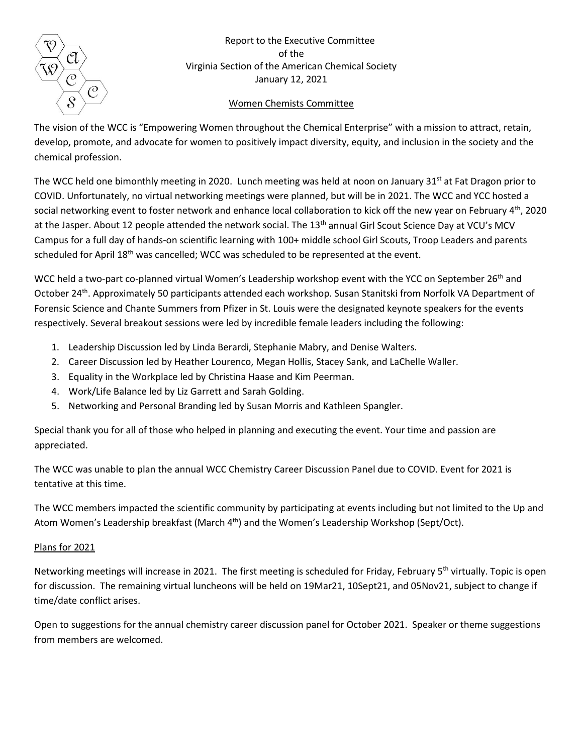

Report to the Executive Committee of the Virginia Section of the American Chemical Society January 12, 2021

## Women Chemists Committee

The vision of the WCC is "Empowering Women throughout the Chemical Enterprise" with a mission to attract, retain, develop, promote, and advocate for women to positively impact diversity, equity, and inclusion in the society and the chemical profession.

The WCC held one bimonthly meeting in 2020. Lunch meeting was held at noon on January 31st at Fat Dragon prior to COVID. Unfortunately, no virtual networking meetings were planned, but will be in 2021. The WCC and YCC hosted a social networking event to foster network and enhance local collaboration to kick off the new year on February 4th, 2020 at the Jasper. About 12 people attended the network social. The 13<sup>th</sup> annual Girl Scout Science Day at VCU's MCV Campus for a full day of hands-on scientific learning with 100+ middle school Girl Scouts, Troop Leaders and parents scheduled for April 18<sup>th</sup> was cancelled; WCC was scheduled to be represented at the event.

WCC held a two-part co-planned virtual Women's Leadership workshop event with the YCC on September 26<sup>th</sup> and October 24<sup>th</sup>. Approximately 50 participants attended each workshop. Susan Stanitski from Norfolk VA Department of Forensic Science and Chante Summers from Pfizer in St. Louis were the designated keynote speakers for the events respectively. Several breakout sessions were led by incredible female leaders including the following:

- 1. Leadership Discussion led by Linda Berardi, Stephanie Mabry, and Denise Walters.
- 2. Career Discussion led by Heather Lourenco, Megan Hollis, Stacey Sank, and LaChelle Waller.
- 3. Equality in the Workplace led by Christina Haase and Kim Peerman.
- 4. Work/Life Balance led by Liz Garrett and Sarah Golding.
- 5. Networking and Personal Branding led by Susan Morris and Kathleen Spangler.

Special thank you for all of those who helped in planning and executing the event. Your time and passion are appreciated.

The WCC was unable to plan the annual WCC Chemistry Career Discussion Panel due to COVID. Event for 2021 is tentative at this time.

The WCC members impacted the scientific community by participating at events including but not limited to the Up and Atom Women's Leadership breakfast (March 4<sup>th</sup>) and the Women's Leadership Workshop (Sept/Oct).

## Plans for 2021

Networking meetings will increase in 2021. The first meeting is scheduled for Friday, February 5<sup>th</sup> virtually. Topic is open for discussion. The remaining virtual luncheons will be held on 19Mar21, 10Sept21, and 05Nov21, subject to change if time/date conflict arises.

Open to suggestions for the annual chemistry career discussion panel for October 2021. Speaker or theme suggestions from members are welcomed.